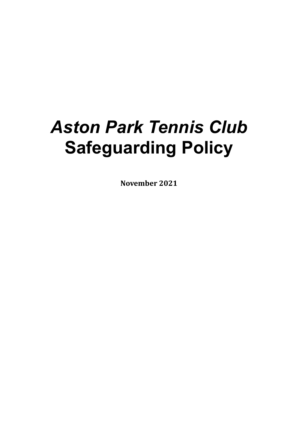# *Aston Park Tennis Club*  **Safeguarding Policy**

**November 2021**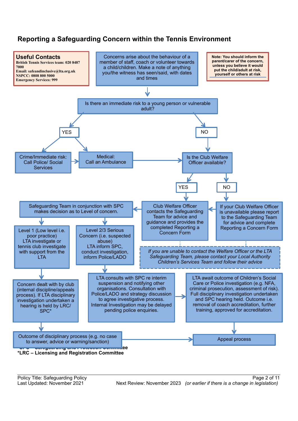# **Reporting a Safeguarding Concern within the Tennis Environment**

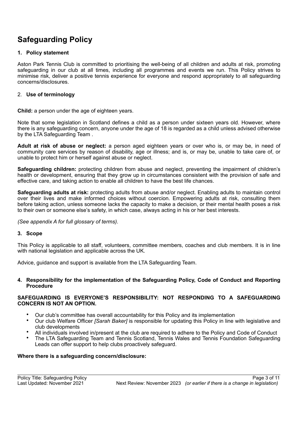# **Safeguarding Policy**

#### **1. Policy statement**

Aston Park Tennis Club is committed to prioritising the well-being of all children and adults at risk, promoting safeguarding in our club at all times, including all programmes and events we run. This Policy strives to minimise risk, deliver a positive tennis experience for everyone and respond appropriately to all safeguarding concerns/disclosures.

#### 2. **Use of terminology**

**Child:** a person under the age of eighteen years.

Note that some legislation in Scotland defines a child as a person under sixteen years old. However, where there is any safeguarding concern, anyone under the age of 18 is regarded as a child unless advised otherwise by the LTA Safeguarding Team .

**Adult at risk of abuse or neglect:** a person aged eighteen years or over who is, or may be, in need of community care services by reason of disability, age or illness; and is, or may be, unable to take care of, or unable to protect him or herself against abuse or neglect.

**Safeguarding children:** protecting children from abuse and neglect, preventing the impairment of children's health or development, ensuring that they grow up in circumstances consistent with the provision of safe and effective care, and taking action to enable all children to have the best life chances.

**Safeguarding adults at risk:** protecting adults from abuse and/or neglect. Enabling adults to maintain control over their lives and make informed choices without coercion. Empowering adults at risk, consulting them before taking action, unless someone lacks the capacity to make a decision, or their mental health poses a risk to their own or someone else's safety, in which case, always acting in his or her best interests.

*(See appendix A for full glossary of terms)*.

#### **3. Scope**

This Policy is applicable to all staff, volunteers, committee members, coaches and club members. It is in line with national legislation and applicable across the UK.

Advice, guidance and support is available from the LTA Safeguarding Team.

#### **4. Responsibility for the implementation of the Safeguarding Policy, Code of Conduct and Reporting Procedure**

#### **SAFEGUARDING IS EVERYONE'S RESPONSIBILITY: NOT RESPONDING TO A SAFEGUARDING CONCERN IS NOT AN OPTION.**

- Our club's committee has overall accountability for this Policy and its implementation
- Our club Welfare Officer *[Sarah Baker]* is responsible for updating this Policy in line with legislative and club developments
- All individuals involved in/present at the club are required to adhere to the Policy and Code of Conduct
- The LTA Safeguarding Team and Tennis Scotland, Tennis Wales and Tennis Foundation Safeguarding Leads can offer support to help clubs proactively safeguard.

#### **Where there is a safeguarding concern/disclosure:**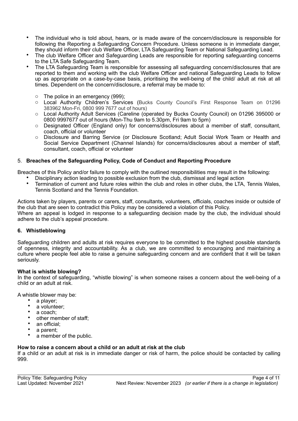- The individual who is told about, hears, or is made aware of the concern/disclosure is responsible for following the Reporting a Safeguarding Concern Procedure. Unless someone is in immediate danger, they should inform their club Welfare Officer, LTA Safeguarding Team or National Safeguarding Lead.
- The club Welfare Officer and Safeguarding Leads are responsible for reporting safeguarding concerns to the LTA Safe Safeguarding Team.
- The LTA Safeguarding Team is responsible for assessing all safeguarding concern/disclosures that are reported to them and working with the club Welfare Officer and national Safeguarding Leads to follow up as appropriate on a case-by-case basis, prioritising the well-being of the child/ adult at risk at all times. Dependent on the concern/disclosure, a referral may be made to:
	- o The police in an emergency (999);
	- o Local Authority Children's Services (Bucks County Council's First Response Team on 01296 383962 Mon-Fri, 0800 999 7677 out of hours)
	- o Local Authority Adult Services (Careline (operated by Bucks County Council) on 01296 395000 or 0800 9997677 out of hours (Mon-Thu 9am to 5.30pm, Fri 9am to 5pm)
	- o Designated Officer (England only) for concerns/disclosures about a member of staff, consultant, coach, official or volunteer
	- o Disclosure and Barring Service (or Disclosure Scotland; Adult Social Work Team or Health and Social Service Department (Channel Islands) for concerns/disclosures about a member of staff, consultant, coach, official or volunteer

#### 5. **Breaches of the Safeguarding Policy, Code of Conduct and Reporting Procedure**

Breaches of this Policy and/or failure to comply with the outlined responsibilities may result in the following:

- Disciplinary action leading to possible exclusion from the club, dismissal and legal action
- Termination of current and future roles within the club and roles in other clubs, the LTA, Tennis Wales, Tennis Scotland and the Tennis Foundation*.*

Actions taken by players, parents or carers, staff, consultants, volunteers, officials, coaches inside or outside of the club that are seen to contradict this Policy may be considered a violation of this Policy. Where an appeal is lodged in response to a safeguarding decision made by the club, the individual should adhere to the club's appeal procedure.

#### **6. Whistleblowing**

Safeguarding children and adults at risk requires everyone to be committed to the highest possible standards of openness, integrity and accountability. As a club, we are committed to encouraging and maintaining a culture where people feel able to raise a genuine safeguarding concern and are confident that it will be taken seriously.

#### **What is whistle blowing?**

In the context of safeguarding, "whistle blowing" is when someone raises a concern about the well-being of a child or an adult at risk.

A whistle blower may be:

- a player;
- a volunteer;
- a coach:
- other member of staff;
- an official;
- a parent;
- a member of the public.

#### **How to raise a concern about a child or an adult at risk at the club**

If a child or an adult at risk is in immediate danger or risk of harm, the police should be contacted by calling 999.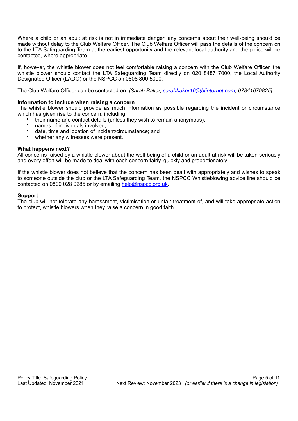Where a child or an adult at risk is not in immediate danger, any concerns about their well-being should be made without delay to the Club Welfare Officer. The Club Welfare Officer will pass the details of the concern on to the LTA Safeguarding Team at the earliest opportunity and the relevant local authority and the police will be contacted, where appropriate.

If, however, the whistle blower does not feel comfortable raising a concern with the Club Welfare Officer, the whistle blower should contact the LTA Safeguarding Team directly on 020 8487 7000, the Local Authority Designated Officer (LADO) or the NSPCC on 0808 800 5000.

The Club Welfare Officer can be contacted on: *[Sarah Baker, sarahbaker10@btinternet.com, 07841679825].*

#### **Information to include when raising a concern**

The whistle blower should provide as much information as possible regarding the incident or circumstance which has given rise to the concern, including:

- their name and contact details (unless they wish to remain anonymous);
- names of individuals involved;
- date, time and location of incident/circumstance; and
- whether any witnesses were present.

#### **What happens next?**

All concerns raised by a whistle blower about the well-being of a child or an adult at risk will be taken seriously and every effort will be made to deal with each concern fairly, quickly and proportionately.

If the whistle blower does not believe that the concern has been dealt with appropriately and wishes to speak to someone outside the club or the LTA Safeguarding Team, the NSPCC Whistleblowing advice line should be contacted on 0800 028 0285 or by emailing help@nspcc.org.uk.

#### **Support**

The club will not tolerate any harassment, victimisation or unfair treatment of, and will take appropriate action to protect, whistle blowers when they raise a concern in good faith.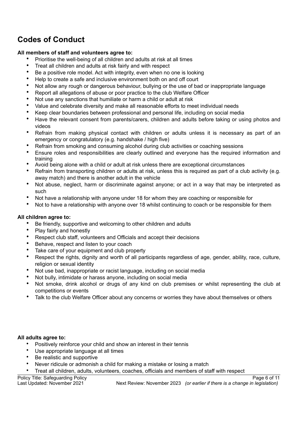# **Codes of Conduct**

#### **All members of staff and volunteers agree to:**

- Prioritise the well-being of all children and adults at risk at all times
- Treat all children and adults at risk fairly and with respect
- Be a positive role model. Act with integrity, even when no one is looking
- Help to create a safe and inclusive environment both on and off court
- Not allow any rough or dangerous behaviour, bullying or the use of bad or inappropriate language
- Report all allegations of abuse or poor practice to the club Welfare Officer
- Not use any sanctions that humiliate or harm a child or adult at risk
- Value and celebrate diversity and make all reasonable efforts to meet individual needs
- Keep clear boundaries between professional and personal life, including on social media
- Have the relevant consent from parents/carers, children and adults before taking or using photos and videos
- Refrain from making physical contact with children or adults unless it is necessary as part of an emergency or congratulatory (e.g. handshake / high five)
- Refrain from smoking and consuming alcohol during club activities or coaching sessions
- Ensure roles and responsibilities are clearly outlined and everyone has the required information and training
- Avoid being alone with a child or adult at risk unless there are exceptional circumstances
- Refrain from transporting children or adults at risk, unless this is required as part of a club activity (e.g. away match) and there is another adult in the vehicle
- Not abuse, neglect, harm or discriminate against anyone; or act in a way that may be interpreted as such
- Not have a relationship with anyone under 18 for whom they are coaching or responsible for
- Not to have a relationship with anyone over 18 whilst continuing to coach or be responsible for them

#### **All children agree to:**

- Be friendly, supportive and welcoming to other children and adults
- Play fairly and honestly
- Respect club staff, volunteers and Officials and accept their decisions
- Behave, respect and listen to your coach
- Take care of your equipment and club property
- Respect the rights, dignity and worth of all participants regardless of age, gender, ability, race, culture, religion or sexual identity
- Not use bad, inappropriate or racist language, including on social media
- Not bully, intimidate or harass anyone, including on social media
- Not smoke, drink alcohol or drugs of any kind on club premises or whilst representing the club at competitions or events
- Talk to the club Welfare Officer about any concerns or worries they have about themselves or others

#### **All adults agree to:**

- Positively reinforce your child and show an interest in their tennis
- Use appropriate language at all times
- Be realistic and supportive
- Never ridicule or admonish a child for making a mistake or losing a match
- Treat all children, adults, volunteers, coaches, officials and members of staff with respect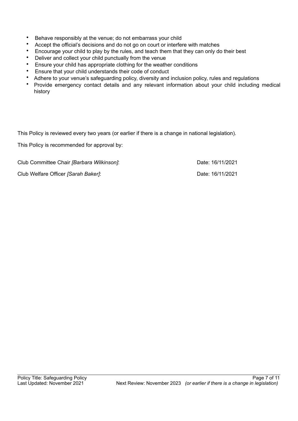- Behave responsibly at the venue; do not embarrass your child
- Accept the official's decisions and do not go on court or interfere with matches
- Encourage your child to play by the rules, and teach them that they can only do their best
- Deliver and collect your child punctually from the venue
- Ensure your child has appropriate clothing for the weather conditions
- Ensure that your child understands their code of conduct
- Adhere to your venue's safeguarding policy, diversity and inclusion policy, rules and regulations
- Provide emergency contact details and any relevant information about your child including medical history

This Policy is reviewed every two years (or earlier if there is a change in national legislation).

This Policy is recommended for approval by:

Club Committee Chair *[Barbara Wilkinson]*: Date: 16/11/2021 Club Welfare Officer *[Sarah Baker]*: Date: 16/11/2021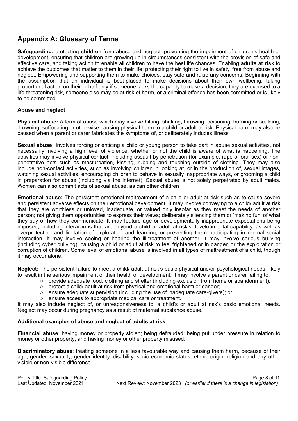## **Appendix A: Glossary of Terms**

**Safeguarding:** protecting **children** from abuse and neglect, preventing the impairment of children's health or development, ensuring that children are growing up in circumstances consistent with the provision of safe and effective care, and taking action to enable all children to have the best life chances. Enabling **adults at risk** to achieve the outcomes that matter to them in their life; protecting their right to live in safety, free from abuse and neglect. Empowering and supporting them to make choices, stay safe and raise any concerns. Beginning with the assumption that an individual is best-placed to make decisions about their own wellbeing, taking proportional action on their behalf only if someone lacks the capacity to make a decision, they are exposed to a life-threatening risk, someone else may be at risk of harm, or a criminal offence has been committed or is likely to be committed.

#### **Abuse and neglect**

**Physical abuse:** A form of abuse which may involve hitting, shaking, throwing, poisoning, burning or scalding, drowning, suffocating or otherwise causing physical harm to a child or adult at risk. Physical harm may also be caused when a parent or carer fabricates the symptoms of, or deliberately induces illness

**Sexual abuse:** Involves forcing or enticing a child or young person to take part in abuse sexual activities, not necessarily involving a high level of violence, whether or not the child is aware of what is happening. The activities may involve physical contact, including assault by penetration (for example, rape or oral sex) or nonpenetrative acts such as masturbation, kissing, rubbing and touching outside of clothing. They may also include non-contact activities, such as involving children in looking at, or in the production of, sexual images, watching sexual activities, encouraging children to behave in sexually inappropriate ways, or grooming a child in preparation for abuse (including via the internet). Sexual abuse is not solely perpetrated by adult males. Women can also commit acts of sexual abuse, as can other children

**Emotional abuse:** The persistent emotional maltreatment of a child or adult at risk such as to cause severe and persistent adverse effects on their emotional development. It may involve conveying to a child/ adult at risk that they are worthless or unloved, inadequate, or valued only insofar as they meet the needs of another person; not giving them opportunities to express their views; deliberately silencing them or 'making fun' of what they say or how they communicate. It may feature age or developmentally inappropriate expectations being imposed, including interactions that are beyond a child or adult at risk's developmental capability, as well as overprotection and limitation of exploration and learning, or preventing them participating in normal social interaction. It may involve seeing or hearing the ill-treatment of another. It may involve serious bullying (including cyber bullying), causing a child or adult at risk to feel frightened or in danger, or the exploitation or corruption of children. Some level of emotional abuse is involved in all types of maltreatment of a child, though it may occur alone.

**Neglect:** The persistent failure to meet a child/ adult at risk's basic physical and/or psychological needs, likely to result in the serious impairment of their health or development. It may involve a parent or carer failing to:

- $\circ$  provide adequate food, clothing and shelter (including exclusion from home or abandonment);
- o protect a child/ adult at risk from physical and emotional harm or danger;
- o ensure adequate supervision (including the use of inadequate care-givers); or
- o ensure access to appropriate medical care or treatment.

It may also include neglect of, or unresponsiveness to, a child's or adult at risk's basic emotional needs. Neglect may occur during pregnancy as a result of maternal substance abuse.

#### **Additional examples of abuse and neglect of adults at risk**

**Financial abuse**: having money or property stolen; being defrauded; being put under pressure in relation to money or other property; and having money or other property misused.

**Discriminatory abuse**: treating someone in a less favourable way and causing them harm, because of their age, gender, sexuality, gender identity, disability, socio-economic status, ethnic origin, religion and any other visible or non-visible difference.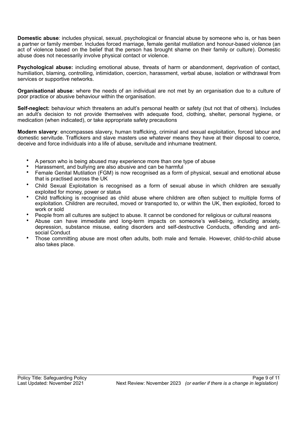**Domestic abuse**: includes physical, sexual, psychological or financial abuse by someone who is, or has been a partner or family member. Includes forced marriage, female genital mutilation and honour-based violence (an act of violence based on the belief that the person has brought shame on their family or culture). Domestic abuse does not necessarily involve physical contact or violence.

**Psychological abuse:** including emotional abuse, threats of harm or abandonment, deprivation of contact, humiliation, blaming, controlling, intimidation, coercion, harassment, verbal abuse, isolation or withdrawal from services or supportive networks.

**Organisational abuse**: where the needs of an individual are not met by an organisation due to a culture of poor practice or abusive behaviour within the organisation.

**Self-neglect:** behaviour which threatens an adult's personal health or safety (but not that of others). Includes an adult's decision to not provide themselves with adequate food, clothing, shelter, personal hygiene, or medication (when indicated), or take appropriate safety precautions

**Modern slavery**: encompasses slavery, human trafficking, criminal and sexual exploitation, forced labour and domestic servitude. Traffickers and slave masters use whatever means they have at their disposal to coerce, deceive and force individuals into a life of abuse, servitude and inhumane treatment.

- A person who is being abused may experience more than one type of abuse
- Harassment, and bullying are also abusive and can be harmful
- Female Genital Mutilation (FGM) is now recognised as a form of physical, sexual and emotional abuse that is practised across the UK
- Child Sexual Exploitation is recognised as a form of sexual abuse in which children are sexually exploited for money, power or status
- Child trafficking is recognised as child abuse where children are often subject to multiple forms of exploitation. Children are recruited, moved or transported to, or within the UK, then exploited, forced to work or sold
- People from all cultures are subject to abuse. It cannot be condoned for religious or cultural reasons
- Abuse can have immediate and long-term impacts on someone's well-being, including anxiety, depression, substance misuse, eating disorders and self-destructive Conducts, offending and antisocial Conduct
- Those committing abuse are most often adults, both male and female. However, child-to-child abuse also takes place.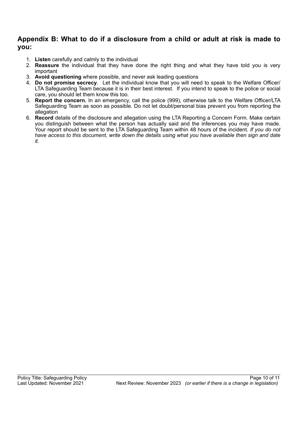### **Appendix B: What to do if a disclosure from a child or adult at risk is made to you:**

- 1. **Listen** carefully and calmly to the individual
- 2. **Reassure** the individual that they have done the right thing and what they have told you is very important
- 3. **Avoid questioning** where possible, and never ask leading questions
- 4. **Do not promise secrecy**. Let the individual know that you will need to speak to the Welfare Officer/ LTA Safeguarding Team because it is in their best interest. If you intend to speak to the police or social care, you should let them know this too.
- 5. **Report the concern.** In an emergency, call the police (999), otherwise talk to the Welfare Officer/LTA Safeguarding Team as soon as possible. Do not let doubt/personal bias prevent you from reporting the allegation
- 6. **Record** details of the disclosure and allegation using the LTA Reporting a Concern Form*.* Make certain you distinguish between what the person has actually said and the inferences you may have made. Your report should be sent to the LTA Safeguarding Team within 48 hours of the incident. *If you do not have access to this document, write down the details using what you have available then sign and date it.*